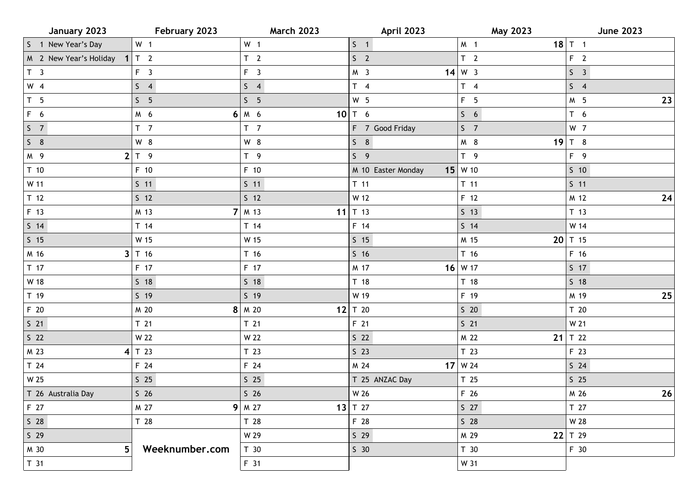| January 2023                 | February 2023   | <b>March 2023</b> | <b>April 2023</b>  | May 2023           | <b>June 2023</b> |
|------------------------------|-----------------|-------------------|--------------------|--------------------|------------------|
| S 1 New Year's Day           | W <sub>1</sub>  | W <sub>1</sub>    | $S \quad 1$        | M <sub>1</sub>     | $18$ T 1         |
| M 2 New Year's Holiday 1 T 2 |                 | T <sub>2</sub>    | S <sub>2</sub>     | T <sub>2</sub>     | F <sub>2</sub>   |
| T <sub>3</sub>               | F <sub>3</sub>  | $F \quad 3$       | M <sub>3</sub>     | $14 \mid W \mid 3$ | S <sub>3</sub>   |
| $W$ 4                        | S <sub>4</sub>  | $S \quad 4$       | $T \quad 4$        | $T \quad 4$        | $S \quad 4$      |
| T <sub>5</sub>               | S <sub>5</sub>  | S <sub>5</sub>    | W <sub>5</sub>     | F <sub>5</sub>     | $23$<br>M 5      |
| F 6                          | M 6             | $6 M_6$           | 10 $T$ 6           | S <sub>6</sub>     | $T\quad 6$       |
| S <sub>7</sub>               | T <sub>7</sub>  | T <sub>7</sub>    | F 7 Good Friday    | S <sub>7</sub>     | W 7              |
| $S$ 8                        | W 8             | W 8               | $S$ 8              | M 8                | 19 $T$ 8         |
| M 9                          | 2 T 9           | T <sub>9</sub>    | S <sub>9</sub>     | T <sub>9</sub>     | F 9              |
| T <sub>10</sub>              | F 10            | F 10              | M 10 Easter Monday | $15$ W 10          | $5\quad10$       |
| W 11                         | $S$ 11          | $S$ 11            | $T$ 11             | $T$ 11             | $S$ 11           |
| T <sub>12</sub>              | $S$ 12          | 5 <sub>12</sub>   | W 12               | F 12               | 24<br>M 12       |
| F 13                         | M 13            | $7 \mid M$ 13     | 11 $T$ 13          | $S$ 13             | T <sub>13</sub>  |
| $S$ 14                       | T 14            | T 14              | F 14               | $S$ 14             | W 14             |
| $S$ 15                       | W 15            | W 15              | $S$ 15             | M 15               | $20$ T 15        |
| M 16                         | $3$ T 16        | T 16              | 516                | T 16               | F 16             |
| T 17                         | F 17            | F 17              | M 17               | $16$ W 17          | $S$ 17           |
| W 18                         | $S$ 18          | $S$ 18            | T <sub>18</sub>    | T 18               | 518              |
| T 19                         | $S$ 19          | $S$ 19            | W 19               | F 19               | 25<br>M 19       |
| F 20                         | M 20            | $8 \mid M$ 20     | 12 $T$ 20          | $S$ 20             | T 20             |
| $S$ 21                       | T <sub>21</sub> | T <sub>21</sub>   | F 21               | $S$ 21             | W 21             |
| S <sub>22</sub>              | W 22            | W 22              | S <sub>22</sub>    | M 22               | 21 $T$ 22        |
| M 23                         | $4$ T 23        | T <sub>23</sub>   | $S$ 23             | T <sub>23</sub>    | F 23             |
| T <sub>24</sub>              | F 24            | F 24              | M 24               | $17$ W 24          | $S$ 24           |
| W 25                         | $S$ 25          | $S$ 25            | T 25 ANZAC Day     | T <sub>25</sub>    | $S$ 25           |
| T 26 Australia Day           | S <sub>26</sub> | S <sub>26</sub>   | W 26               | F 26               | 26<br>M 26       |
| F 27                         | M 27            | $9$ M 27          | 13 $T$ 27          | S <sub>27</sub>    | T 27             |
| S <sub>28</sub>              | T 28            | T 28              | F 28               | S <sub>28</sub>    | W 28             |
| $S$ 29                       |                 | W 29              | $S$ 29             | M 29               | 22 $T$ 29        |
| 5<br>M 30                    | Weeknumber.com  | T <sub>30</sub>   | $S$ 30             | T 30               | F 30             |
| T <sub>31</sub>              |                 | F 31              |                    | W 31               |                  |